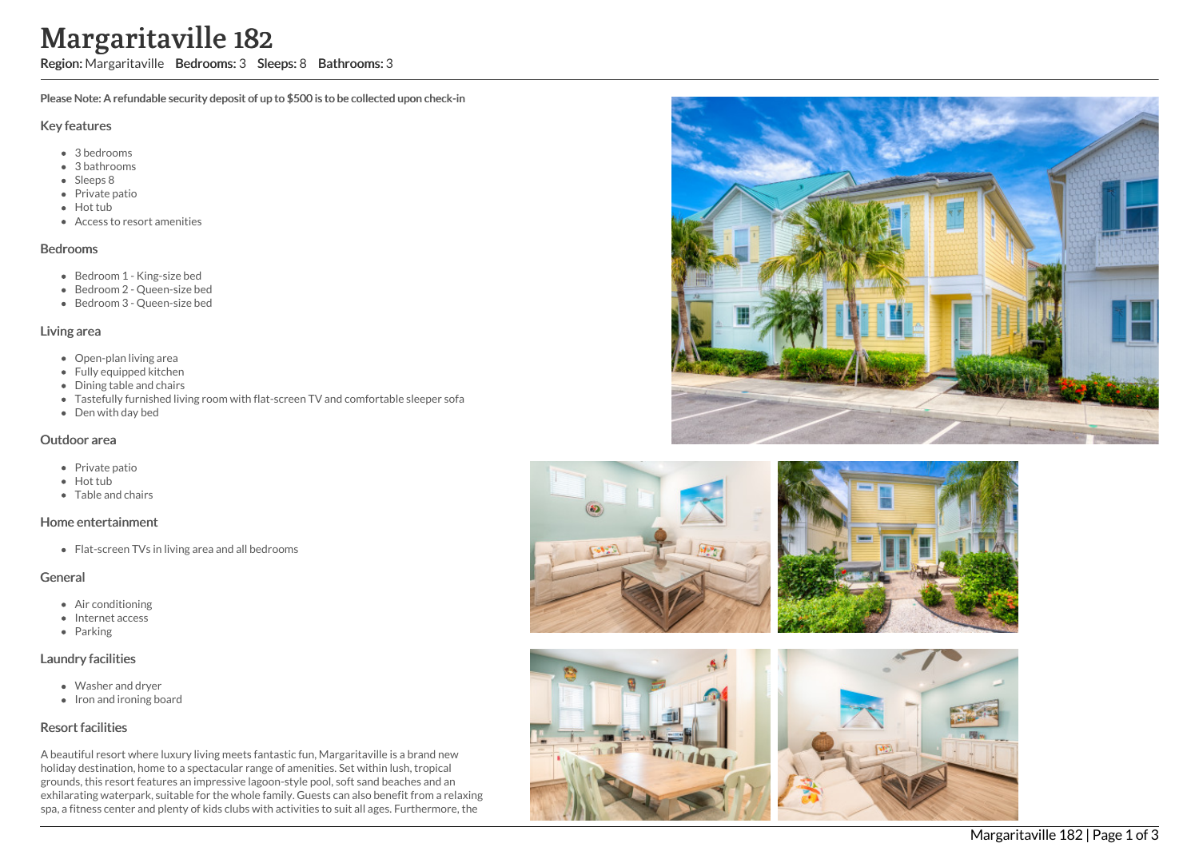# Margaritaville 182

Region: Margaritaville Bedrooms: 3 Sleeps: 8 Bathrooms: 3

Please Note: A refundable security deposit of up to \$500 is to be collected upon check-in

#### Key features

- 3 bedrooms
- 3 bathrooms
- Sleeps 8
- Private patio
- Hot tub
- Access to resort amenities

#### Bedrooms

- Bedroom 1 King-size bed
- Bedroom 2 Queen-size bed
- Bedroom 3 Queen-size bed

### Living area

- Open-plan living area
- Fully equipped kitchen
- Dining table and chairs
- Tastefully furnished living room with flat-screen TV and comfortable sleeper sofa
- Den with day bed

### Outdoor area

- Private patio
- Hot tub
- Table and chairs

## Home entertainment

• Flat-screen TVs in living area and all bedrooms

## General

- Air conditioning
- Internet access
- Parking

## Laundry facilities

- Washer and dryer
- Iron and ironing board

# Resort facilities

A beautiful resort where luxury living meets fantastic fun, Margaritaville is a brand new holiday destination, home to a spectacular range of amenities. Set within lush, tropical grounds, this resort features an impressive lagoon-style pool, soft sand beaches and an exhilarating waterpark, suitable for the whole family. Guests can also benefit from a relaxing spa, a fitness center and plenty of kids clubs with activities to suit all ages. Furthermore, the





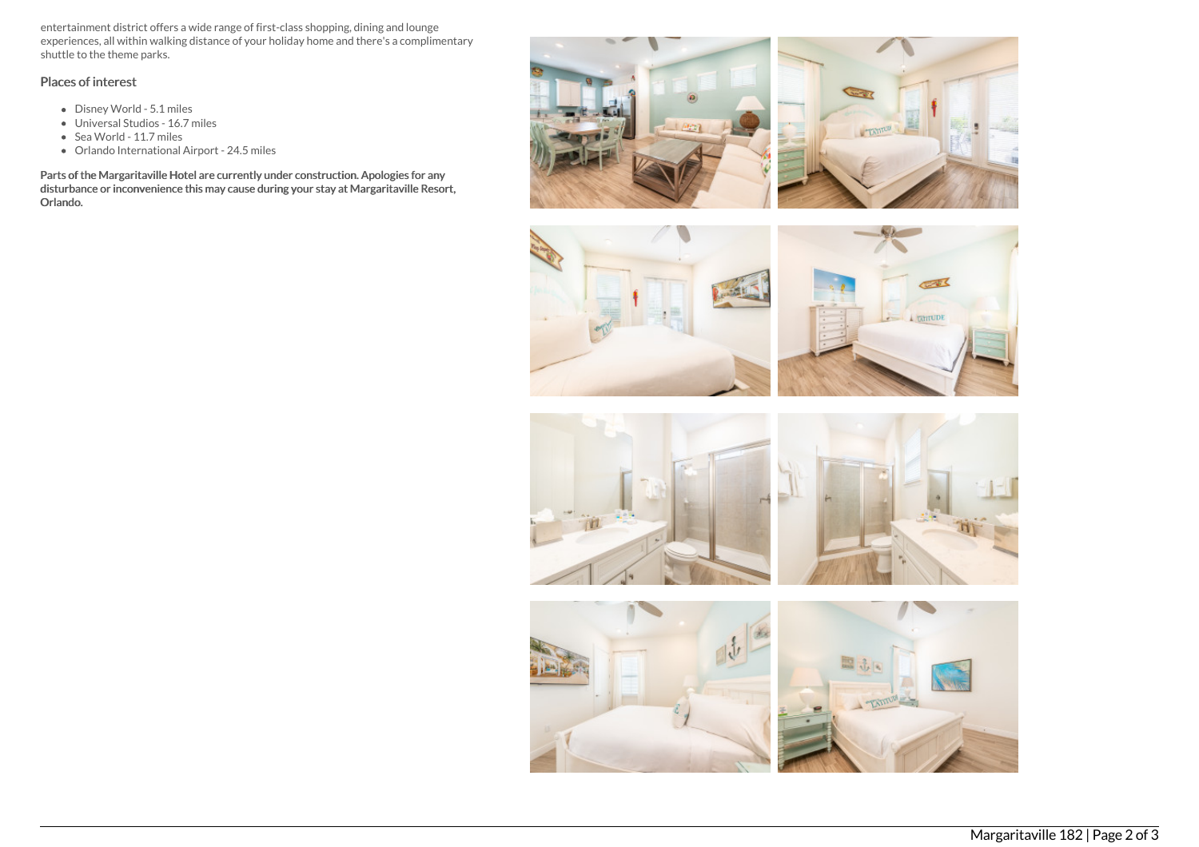entertainment district offers a wide range of first-class shopping, dining and lounge experiences, all within walking distance of your holiday home and there's a complimentary shuttle to the theme parks.

# Places of interest

- Disney World 5.1 miles
- Universal Studios 16.7 miles
- Sea World 11.7 miles
- Orlando International Airport 24.5 miles

Parts of the Margaritaville Hotel are currently under construction. Apologies for any disturbance or inconvenience this may cause during your stay at Margaritaville Resort, Orlando.